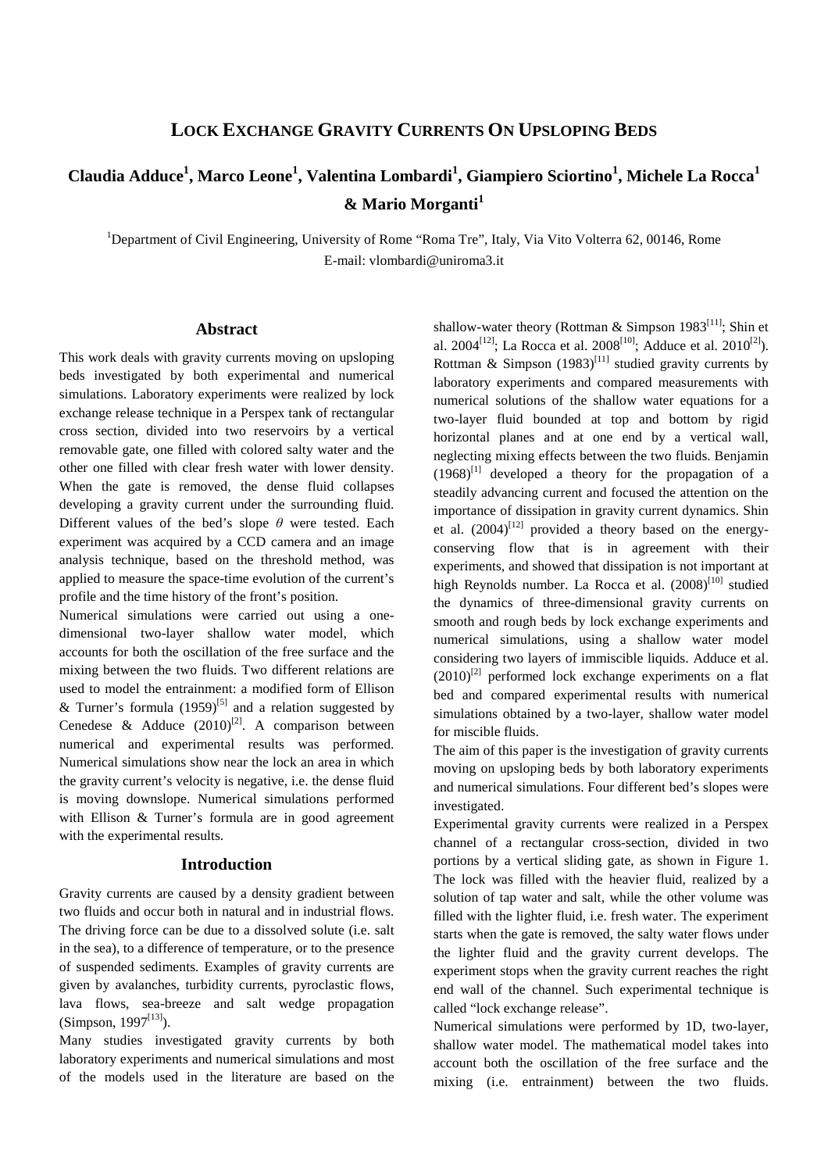## **LOCK EXCHANGE GRAVITY CURRENTS ON UPSLOPING BEDS**

# **Claudia Adduce<sup>1</sup> , Marco Leone<sup>1</sup> , Valentina Lombardi<sup>1</sup> , Giampiero Sciortino<sup>1</sup> , Michele La Rocca<sup>1</sup> & Mario Morganti<sup>1</sup>**

<sup>1</sup>Department of Civil Engineering, University of Rome "Roma Tre", Italy, Via Vito Volterra 62, 00146, Rome E-mail: vlombardi@uniroma3.it

### **Abstract**

This work deals with gravity currents moving on upsloping beds investigated by both experimental and numerical simulations. Laboratory experiments were realized by lock exchange release technique in a Perspex tank of rectangular cross section, divided into two reservoirs by a vertical removable gate, one filled with colored salty water and the other one filled with clear fresh water with lower density. When the gate is removed, the dense fluid collapses developing a gravity current under the surrounding fluid. Different values of the bed's slope *θ* were tested. Each experiment was acquired by a CCD camera and an image analysis technique, based on the threshold method, was applied to measure the space-time evolution of the current's profile and the time history of the front's position.

Numerical simulations were carried out using a onedimensional two-layer shallow water model, which accounts for both the oscillation of the free surface and the mixing between the two fluids. Two different relations are used to model the entrainment: a modified form of Ellison & Turner's formula  $(1959)^{5}$  and a relation suggested by Cenedese & Adduce  $(2010)^{[2]}$ . A comparison between numerical and experimental results was performed. Numerical simulations show near the lock an area in which the gravity current's velocity is negative, i.e. the dense fluid is moving downslope. Numerical simulations performed with Ellison & Turner's formula are in good agreement with the experimental results.

#### **Introduction**

Gravity currents are caused by a density gradient between two fluids and occur both in natural and in industrial flows. The driving force can be due to a dissolved solute (i.e. salt in the sea), to a difference of temperature, or to the presence of suspended sediments. Examples of gravity currents are given by avalanches, turbidity currents, pyroclastic flows, lava flows, sea-breeze and salt wedge propagation (Simpson, 1997 $[13]$ ).

Many studies investigated gravity currents by both laboratory experiments and numerical simulations and most of the models used in the literature are based on the

shallow-water theory (Rottman & Simpson 1983<sup>[11]</sup>; Shin et al. 2004<sup>[12]</sup>; La Rocca et al. 2008<sup>[10]</sup>; Adduce et al. 2010<sup>[2]</sup>). Rottman & Simpson  $(1983)^{[11]}$  studied gravity currents by laboratory experiments and compared measurements with numerical solutions of the shallow water equations for a two-layer fluid bounded at top and bottom by rigid horizontal planes and at one end by a vertical wall, neglecting mixing effects between the two fluids. Benjamin  $(1968)^{[1]}$  developed a theory for the propagation of a steadily advancing current and focused the attention on the importance of dissipation in gravity current dynamics. Shin et al.  $(2004)^{[12]}$  provided a theory based on the energyconserving flow that is in agreement with their experiments, and showed that dissipation is not important at high Reynolds number. La Rocca et al.  $(2008)^{[10]}$  studied the dynamics of three-dimensional gravity currents on smooth and rough beds by lock exchange experiments and numerical simulations, using a shallow water model considering two layers of immiscible liquids. Adduce et al.  $(2010)^{[2]}$  performed lock exchange experiments on a flat bed and compared experimental results with numerical simulations obtained by a two-layer, shallow water model for miscible fluids.

The aim of this paper is the investigation of gravity currents moving on upsloping beds by both laboratory experiments and numerical simulations. Four different bed's slopes were investigated.

Experimental gravity currents were realized in a Perspex channel of a rectangular cross-section, divided in two portions by a vertical sliding gate, as shown in Figure 1. The lock was filled with the heavier fluid, realized by a solution of tap water and salt, while the other volume was filled with the lighter fluid, i.e. fresh water. The experiment starts when the gate is removed, the salty water flows under the lighter fluid and the gravity current develops. The experiment stops when the gravity current reaches the right end wall of the channel. Such experimental technique is called "lock exchange release".

Numerical simulations were performed by 1D, two-layer, shallow water model. The mathematical model takes into account both the oscillation of the free surface and the mixing (i.e. entrainment) between the two fluids.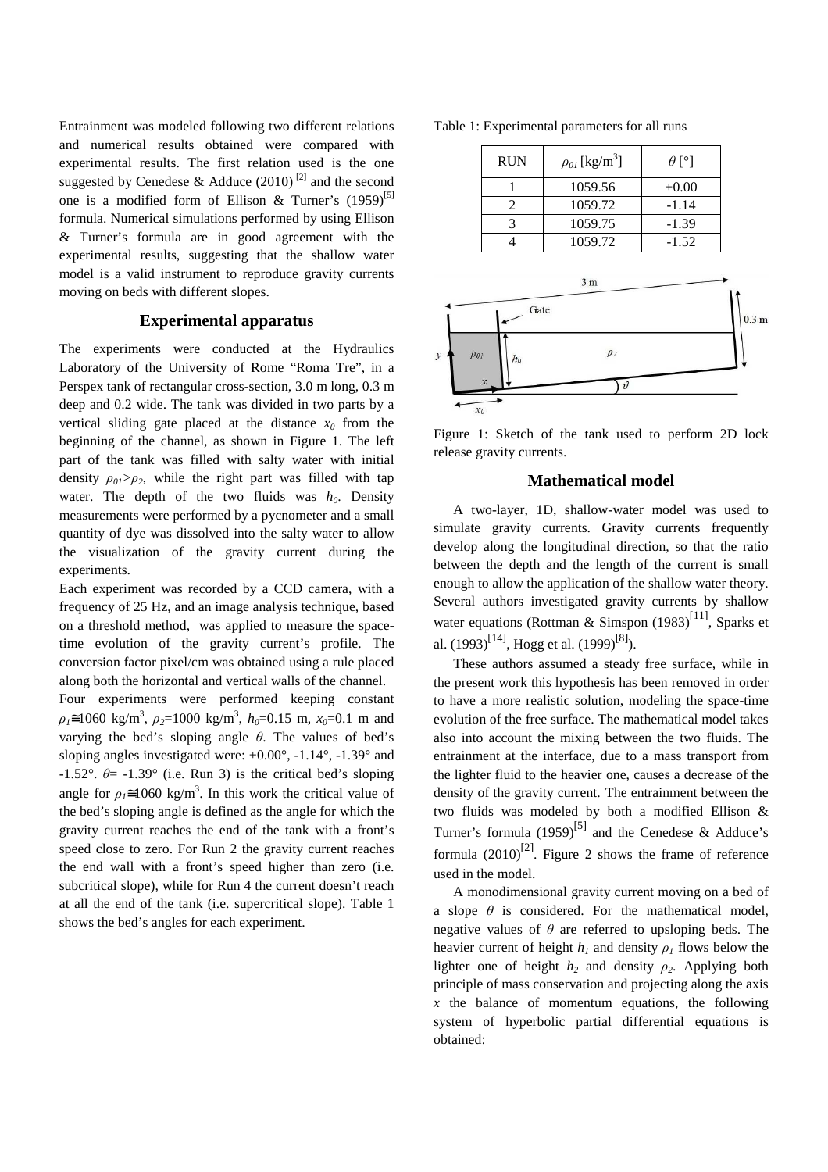Entrainment was modeled following two different relations and numerical results obtained were compared with experimental results. The first relation used is the one suggested by Cenedese & Adduce  $(2010)^{[2]}$  and the second one is a modified form of Ellison & Turner's  $(1959)^{5}$ ] formula. Numerical simulations performed by using Ellison & Turner's formula are in good agreement with the experimental results, suggesting that the shallow water model is a valid instrument to reproduce gravity currents moving on beds with different slopes.

#### **Experimental apparatus**

The experiments were conducted at the Hydraulics Laboratory of the University of Rome "Roma Tre", in a Perspex tank of rectangular cross-section, 3.0 m long, 0.3 m deep and 0.2 wide. The tank was divided in two parts by a vertical sliding gate placed at the distance  $x_0$  from the beginning of the channel, as shown in Figure 1. The left part of the tank was filled with salty water with initial density  $\rho_{01} > \rho_2$ , while the right part was filled with tap water. The depth of the two fluids was  $h_0$ . Density measurements were performed by a pycnometer and a small quantity of dye was dissolved into the salty water to allow the visualization of the gravity current during the experiments.

Each experiment was recorded by a CCD camera, with a frequency of 25 Hz, and an image analysis technique, based on a threshold method, was applied to measure the spacetime evolution of the gravity current's profile. The conversion factor pixel/cm was obtained using a rule placed along both the horizontal and vertical walls of the channel. Four experiments were performed keeping constant  $\rho_l \approx 1060 \text{ kg/m}^3$ ,  $\rho_2 = 1000 \text{ kg/m}^3$ ,  $h_0 = 0.15 \text{ m}$ ,  $x_0 = 0.1 \text{ m}$  and varying the bed's sloping angle *θ*. The values of bed's sloping angles investigated were: +0.00°, -1.14°, -1.39° and  $-1.52^{\circ}$ .  $\theta$  =  $-1.39^{\circ}$  (i.e. Run 3) is the critical bed's sloping angle for  $\rho_1 \approx 1060 \text{ kg/m}^3$ . In this work the critical value of the bed's sloping angle is defined as the angle for which the gravity current reaches the end of the tank with a front's speed close to zero. For Run 2 the gravity current reaches the end wall with a front's speed higher than zero (i.e. subcritical slope), while for Run 4 the current doesn't reach at all the end of the tank (i.e. supercritical slope). Table 1 shows the bed's angles for each experiment.

Table 1: Experimental parameters for all runs

|                              | <b>RUN</b>              | $\rho_{0I}\,[\rm{kg/m^3}]$ | $\theta$ [°] |                  |
|------------------------------|-------------------------|----------------------------|--------------|------------------|
|                              | $\mathbf{1}$            | 1059.56                    | $+0.00$      |                  |
|                              | $\overline{2}$          | 1059.72                    | $-1.14$      |                  |
|                              | 3                       | 1059.75                    | $-1.39$      |                  |
|                              | 4                       | 1059.72                    | $-1.52$      |                  |
|                              | Gate                    | 3 <sub>m</sub>             |              | 0.3 <sub>m</sub> |
| $\rho_{01}$<br>$\mathcal{Y}$ | $h_0$<br>$\mathfrak{X}$ | $\rho_2$                   |              |                  |
|                              | $x_0$                   | $\vartheta$                |              |                  |

Figure 1: Sketch of the tank used to perform 2D lock release gravity currents.

#### **Mathematical model**

A two-layer, 1D, shallow-water model was used to simulate gravity currents. Gravity currents frequently develop along the longitudinal direction, so that the ratio between the depth and the length of the current is small enough to allow the application of the shallow water theory. Several authors investigated gravity currents by shallow water equations (Rottman & Simspon  $(1983)^{[11]}$ , Sparks et al.  $(1993)^{[14]}$ , Hogg et al.  $(1999)^{[8]}$ ).

These authors assumed a steady free surface, while in the present work this hypothesis has been removed in order to have a more realistic solution, modeling the space-time evolution of the free surface. The mathematical model takes also into account the mixing between the two fluids. The entrainment at the interface, due to a mass transport from the lighter fluid to the heavier one, causes a decrease of the density of the gravity current. The entrainment between the two fluids was modeled by both a modified Ellison & Turner's formula  $(1959)^{[5]}$  and the Cenedese & Adduce's formula  $(2010)^{[2]}$ . Figure 2 shows the frame of reference used in the model.

A monodimensional gravity current moving on a bed of a slope  $\theta$  is considered. For the mathematical model, negative values of *θ* are referred to upsloping beds. The heavier current of height  $h_l$  and density  $\rho_l$  flows below the lighter one of height  $h_2$  and density  $\rho_2$ . Applying both principle of mass conservation and projecting along the axis *x* the balance of momentum equations, the following system of hyperbolic partial differential equations is obtained: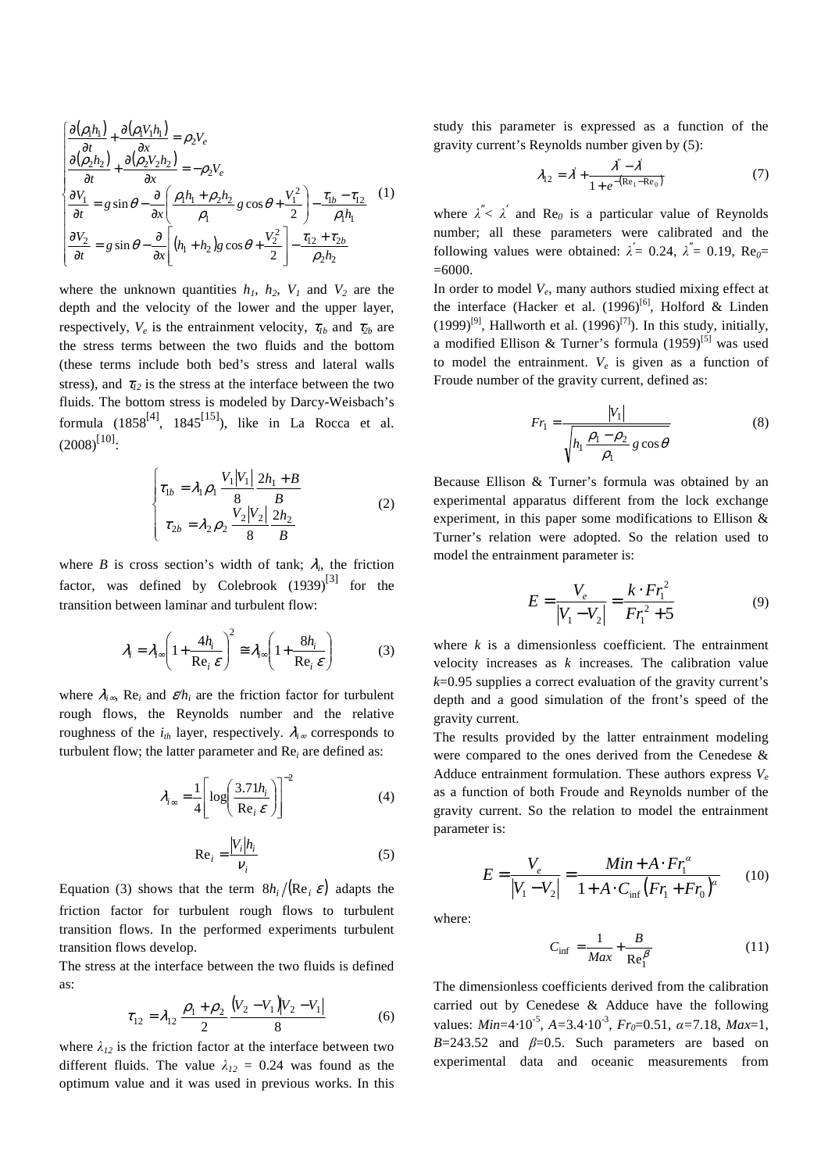$$
\begin{cases}\n\frac{\partial(\rho_1 h_1)}{\partial t} + \frac{\partial(\rho_1 V_1 h_1)}{\partial x} = \rho_2 V_e \\
\frac{\partial(\rho_2 h_2)}{\partial t} + \frac{\partial(\rho_2 V_2 h_2)}{\partial x} = -\rho_2 V_e \\
\frac{\partial V_1}{\partial t} = g \sin \theta - \frac{\partial}{\partial x} \left( \frac{\rho_1 h_1 + \rho_2 h_2}{\rho_1} g \cos \theta + \frac{V_1^2}{2} \right) - \frac{\tau_{1b} - \tau_{12}}{\rho_1 h_1}\n\end{cases} (1)
$$
\n
$$
\frac{\partial V_2}{\partial t} = g \sin \theta - \frac{\partial}{\partial x} \left[ (h_1 + h_2) g \cos \theta + \frac{V_2^2}{2} \right] - \frac{\tau_{12} + \tau_{2b}}{\rho_2 h_2}
$$

where the unknown quantities  $h_1$ ,  $h_2$ ,  $V_1$  and  $V_2$  are the depth and the velocity of the lower and the upper layer, respectively,  $V_e$  is the entrainment velocity,  $\tau_{1b}$  and  $\tau_{2b}$  are the stress terms between the two fluids and the bottom (these terms include both bed's stress and lateral walls stress), and  $\tau_{12}$  is the stress at the interface between the two fluids. The bottom stress is modeled by Darcy-Weisbach's formula  $(1858^{[4]}, 1845^{[15]})$ , like in La Rocca et al.  $(2008)^{[10]}$ :

$$
\begin{cases}\n\tau_{1b} = \lambda_1 \rho_1 \frac{V_1 |V_1|}{8} \frac{2h_1 + B}{B} \\
\tau_{2b} = \lambda_2 \rho_2 \frac{V_2 |V_2|}{8} \frac{2h_2}{B}\n\end{cases}
$$
\n(2)

where *B* is cross section's width of tank;  $\lambda_i$ , the friction factor, was defined by Colebrook  $(1939)^{[3]}$  for the transition between laminar and turbulent flow:

$$
\lambda_i = \lambda_{i\infty} \left( 1 + \frac{4h_i}{\text{Re}_i \ \varepsilon} \right)^2 \cong \lambda_{i\infty} \left( 1 + \frac{8h_i}{\text{Re}_i \ \varepsilon} \right) \tag{3}
$$

where  $\lambda_i$ <sub>∞</sub>, Re<sub>i</sub> and  $\epsilon/\hbar$ <sub>*i*</sub> are the friction factor for turbulent rough flows, the Reynolds number and the relative roughness of the  $i<sub>th</sub>$  layer, respectively.  $\lambda<sub>i</sub>$  corresponds to turbulent flow; the latter parameter and  $Re<sub>i</sub>$  are defined as:

$$
\lambda_{i\infty} = \frac{1}{4} \left[ \log \left( \frac{3.71 h_i}{\text{Re}_i \varepsilon} \right) \right]^{-2}
$$
(4)  

$$
\text{Re}_i = \frac{|V_i| h_i}{v_i}
$$
(5)

Equation (3) shows that the term  $8h_i/(Re_i \varepsilon)$  adapts the friction factor for turbulent rough flows to turbulent transition flows. In the performed experiments turbulent transition flows develop.

The stress at the interface between the two fluids is defined as:

$$
\tau_{12} = \lambda_{12} \frac{\rho_1 + \rho_2}{2} \frac{(V_2 - V_1)|V_2 - V_1|}{8}
$$
 (6)

where  $\lambda_{12}$  is the friction factor at the interface between two different fluids. The value  $\lambda_{12} = 0.24$  was found as the optimum value and it was used in previous works. In this study this parameter is expressed as a function of the gravity current's Reynolds number given by (5):

$$
\lambda_{12} = \lambda + \frac{\lambda^2 - \lambda^2}{1 + e^{-(\text{Re}_1 - \text{Re}_0)}}\tag{7}
$$

where  $\lambda^{\prime\prime} < \lambda^{\prime}$  and Re<sub>0</sub> is a particular value of Reynolds number; all these parameters were calibrated and the following values were obtained:  $\lambda = 0.24$ ,  $\lambda = 0.19$ , Re<sub>0</sub>=  $=6000$ .

In order to model *V<sup>e</sup>* , many authors studied mixing effect at the interface (Hacker et al.  $(1996)^{[6]}$ , Holford & Linden (1999)<sup>[9]</sup>, Hallworth et al. (1996)<sup>[7]</sup>). In this study, initially, a modified Ellison & Turner's formula  $(1959)^{5}$  was used to model the entrainment.  $V_e$  is given as a function of Froude number of the gravity current, defined as:

$$
Fr_1 = \frac{|V_1|}{\sqrt{h_1 \frac{\rho_1 - \rho_2}{\rho_1} g \cos \theta}}
$$
(8)

Because Ellison & Turner's formula was obtained by an experimental apparatus different from the lock exchange experiment, in this paper some modifications to Ellison & Turner's relation were adopted. So the relation used to model the entrainment parameter is:

$$
E = \frac{V_e}{|V_1 - V_2|} = \frac{k \cdot Fr_1^2}{Fr_1^2 + 5}
$$
 (9)

where  $k$  is a dimensionless coefficient. The entrainment velocity increases as *k* increases. The calibration value *k*=0.95 supplies a correct evaluation of the gravity current's depth and a good simulation of the front's speed of the gravity current.

The results provided by the latter entrainment modeling were compared to the ones derived from the Cenedese & Adduce entrainment formulation. These authors express *V<sup>e</sup>* as a function of both Froude and Reynolds number of the gravity current. So the relation to model the entrainment parameter is:

$$
E = \frac{V_e}{|V_1 - V_2|} = \frac{Min + A \cdot Fr_1^{\alpha}}{1 + A \cdot C_{\text{inf}} (Fr_1 + Fr_0)^{\alpha}} \qquad (10)
$$

where:

$$
C_{\inf} = \frac{1}{Max} + \frac{B}{\text{Re}_{1}^{\beta}}
$$
 (11)

The dimensionless coefficients derived from the calibration carried out by Cenedese & Adduce have the following values: *Min*=4⋅10-5 , *A=*3.4⋅10-3 , *Fr0*=0.51, *α=*7.18, *Max*=1, *B*=243.52 and  $\beta$ =0.5. Such parameters are based on experimental data and oceanic measurements from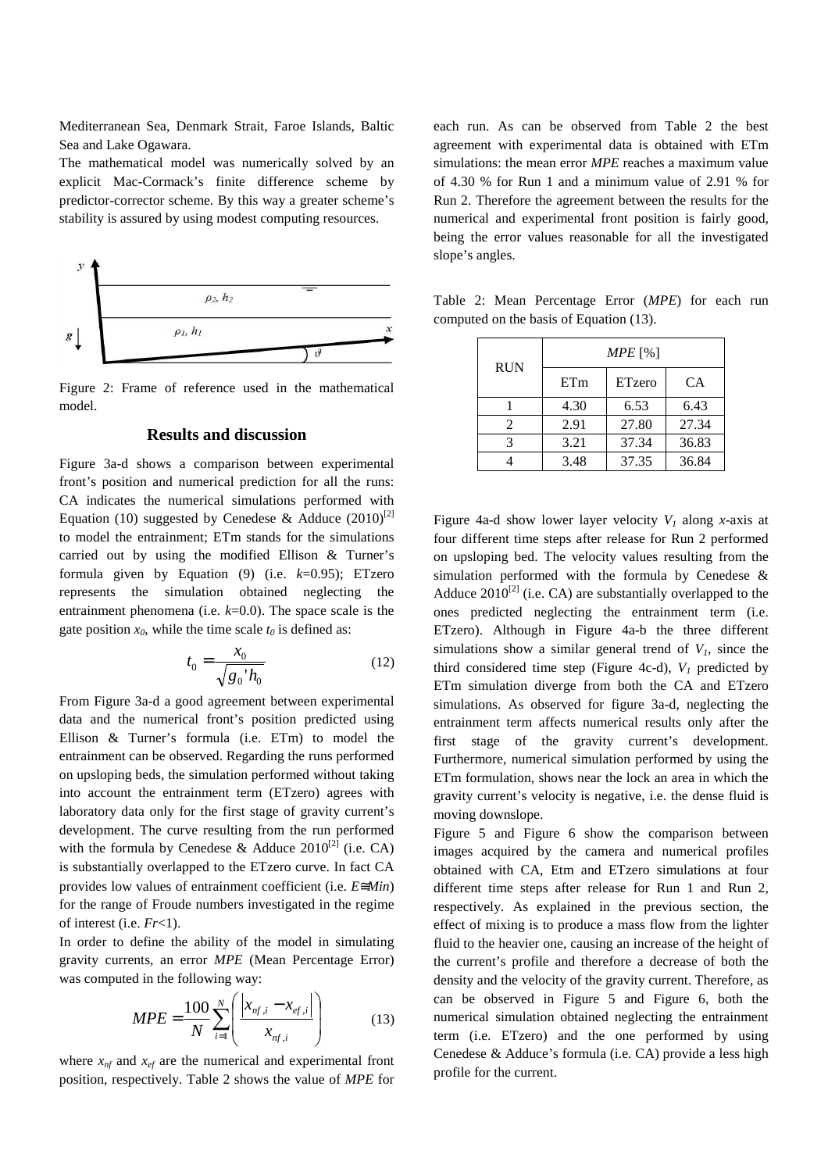Mediterranean Sea, Denmark Strait, Faroe Islands, Baltic Sea and Lake Ogawara.

The mathematical model was numerically solved by an explicit Mac-Cormack's finite difference scheme by predictor-corrector scheme. By this way a greater scheme's stability is assured by using modest computing resources.



Figure 2: Frame of reference used in the mathematical model.

#### **Results and discussion**

Figure 3a-d shows a comparison between experimental front's position and numerical prediction for all the runs: CA indicates the numerical simulations performed with Equation (10) suggested by Cenedese & Adduce (2010)<sup>[2]</sup> to model the entrainment; ETm stands for the simulations carried out by using the modified Ellison & Turner's formula given by Equation (9) (i.e. *k*=0.95); ETzero represents the simulation obtained neglecting the entrainment phenomena (i.e. *k*=0.0). The space scale is the gate position  $x_0$ , while the time scale  $t_0$  is defined as:

$$
t_0 = \frac{x_0}{\sqrt{{g_0}' h_0}}
$$
 (12)

From Figure 3a-d a good agreement between experimental data and the numerical front's position predicted using Ellison & Turner's formula (i.e. ETm) to model the entrainment can be observed. Regarding the runs performed on upsloping beds, the simulation performed without taking into account the entrainment term (ETzero) agrees with laboratory data only for the first stage of gravity current's development. The curve resulting from the run performed with the formula by Cenedese & Adduce  $2010^{[2]}$  (i.e. CA) is substantially overlapped to the ETzero curve. In fact CA provides low values of entrainment coefficient (i.e. *E*≅*Min*) for the range of Froude numbers investigated in the regime of interest (i.e. *Fr*<1).

In order to define the ability of the model in simulating gravity currents, an error *MPE* (Mean Percentage Error) was computed in the following way:

$$
MPE = \frac{100}{N} \sum_{i=1}^{N} \left( \frac{|x_{nf,i} - x_{ef,i}|}{x_{nf,i}} \right)
$$
(13)

where  $x_{nf}$  and  $x_{ef}$  are the numerical and experimental front position, respectively. Table 2 shows the value of *MPE* for each run. As can be observed from Table 2 the best agreement with experimental data is obtained with ETm simulations: the mean error *MPE* reaches a maximum value of 4.30 % for Run 1 and a minimum value of 2.91 % for Run 2. Therefore the agreement between the results for the numerical and experimental front position is fairly good, being the error values reasonable for all the investigated slope's angles.

| <b>RUN</b>    | $MPE$ [%] |        |           |  |
|---------------|-----------|--------|-----------|--|
|               | ETm       | ETzero | <b>CA</b> |  |
|               | 4.30      | 6.53   | 6.43      |  |
| 2             | 2.91      | 27.80  | 27.34     |  |
| $\mathcal{R}$ | 3.21      | 37.34  | 36.83     |  |
|               | 3.48      | 37.35  | 36.84     |  |

Table 2: Mean Percentage Error (*MPE*) for each run computed on the basis of Equation (13).

Figure 4a-d show lower layer velocity  $V_I$  along *x*-axis at four different time steps after release for Run 2 performed on upsloping bed. The velocity values resulting from the simulation performed with the formula by Cenedese & Adduce  $2010^{[2]}$  (i.e. CA) are substantially overlapped to the ones predicted neglecting the entrainment term (i.e. ETzero). Although in Figure 4a-b the three different simulations show a similar general trend of  $V<sub>1</sub>$ , since the third considered time step (Figure 4c-d),  $V_I$  predicted by ETm simulation diverge from both the CA and ETzero simulations. As observed for figure 3a-d, neglecting the entrainment term affects numerical results only after the first stage of the gravity current's development. Furthermore, numerical simulation performed by using the ETm formulation, shows near the lock an area in which the gravity current's velocity is negative, i.e. the dense fluid is moving downslope.

Figure 5 and Figure 6 show the comparison between images acquired by the camera and numerical profiles obtained with CA, Etm and ETzero simulations at four different time steps after release for Run 1 and Run 2, respectively. As explained in the previous section, the effect of mixing is to produce a mass flow from the lighter fluid to the heavier one, causing an increase of the height of the current's profile and therefore a decrease of both the density and the velocity of the gravity current. Therefore, as can be observed in Figure 5 and Figure 6, both the numerical simulation obtained neglecting the entrainment term (i.e. ETzero) and the one performed by using Cenedese & Adduce's formula (i.e. CA) provide a less high profile for the current.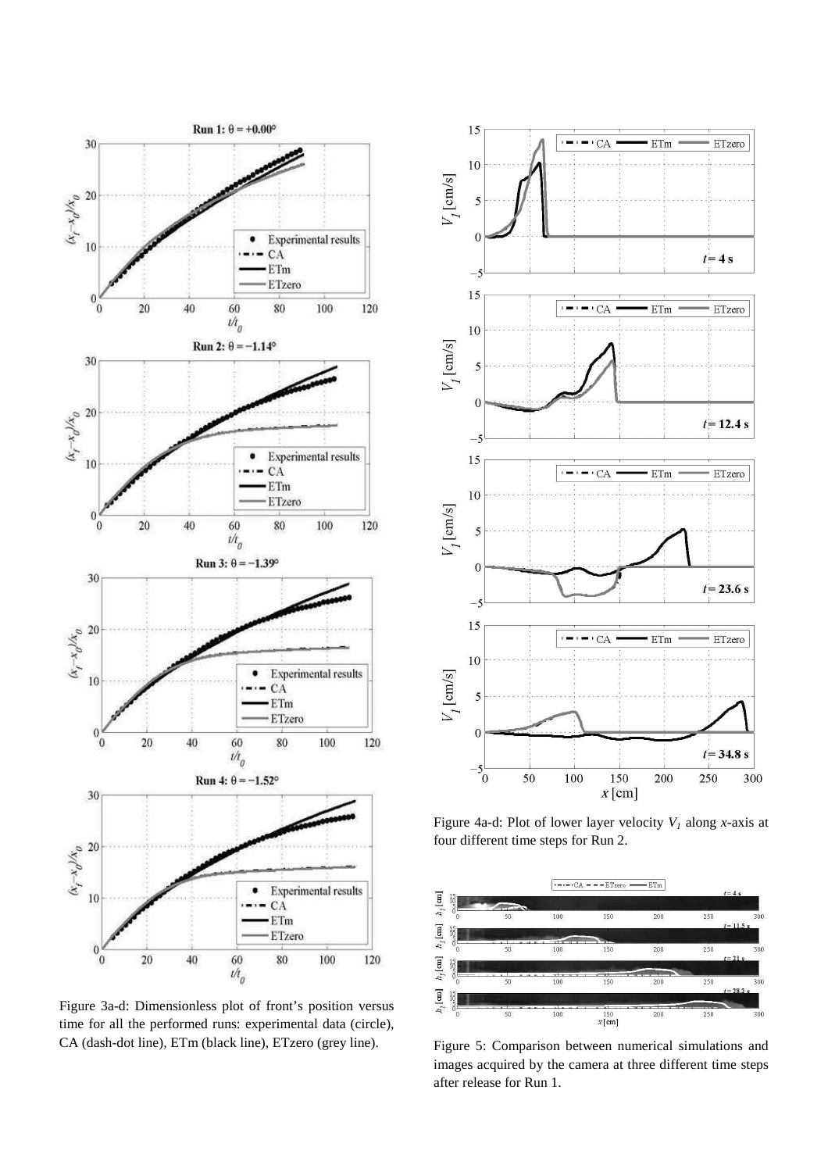

Figure 3a-d: Dimensionless plot of front's position versus time for all the performed runs: experimental data (circle), CA (dash-dot line), ETm (black line), ETzero (grey line).



Figure 4a-d: Plot of lower layer velocity  $V_I$  along *x*-axis at four different time steps for Run 2.



Figure 5: Comparison between numerical simulations and images acquired by the camera at three different time steps after release for Run 1.